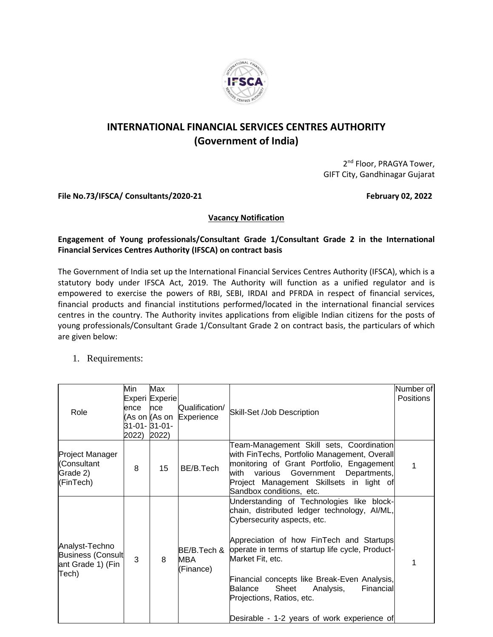

# **INTERNATIONAL FINANCIAL SERVICES CENTRES AUTHORITY (Government of India)**

2<sup>nd</sup> Floor, PRAGYA Tower, GIFT City, Gandhinagar Gujarat

File No.73/IFSCA/ Consultants/2020-21 **February 02, 2022** 

### **Vacancy Notification**

## **Engagement of Young professionals/Consultant Grade 1/Consultant Grade 2 in the International Financial Services Centres Authority (IFSCA) on contract basis**

The Government of India set up the International Financial Services Centres Authority (IFSCA), which is a statutory body under IFSCA Act, 2019. The Authority will function as a unified regulator and is empowered to exercise the powers of RBI, SEBI, IRDAI and PFRDA in respect of financial services, financial products and financial institutions performed/located in the international financial services centres in the country. The Authority invites applications from eligible Indian citizens for the posts of young professionals/Consultant Grade 1/Consultant Grade 2 on contract basis, the particulars of which are given below:

# 1. Requirements:

|                                                                          | Min           | Max<br>Experi Experie                                 |                                 |                                                                                                                                                                                                                                                                                                                                                                                                                        | Number of<br><b>Positions</b> |
|--------------------------------------------------------------------------|---------------|-------------------------------------------------------|---------------------------------|------------------------------------------------------------------------------------------------------------------------------------------------------------------------------------------------------------------------------------------------------------------------------------------------------------------------------------------------------------------------------------------------------------------------|-------------------------------|
| Role                                                                     | ence<br>2022) | <b>nce</b><br>(As on (As on<br>31-01- 31-01-<br>2022) | Qualification/<br>Experience    | Skill-Set /Job Description                                                                                                                                                                                                                                                                                                                                                                                             |                               |
| Project Manager<br>(Consultant<br>Grade 2)<br>(FinTech)                  | 8             | 15                                                    | BE/B.Tech                       | Team-Management Skill sets, Coordination<br>with FinTechs, Portfolio Management, Overall<br>monitoring of Grant Portfolio, Engagement<br>with<br>various<br>Government<br>Departments,<br>Project Management Skillsets in light of<br>Sandbox conditions, etc.                                                                                                                                                         | 1                             |
| Analyst-Techno<br><b>Business (Consult</b><br>ant Grade 1) (Fin<br>Tech) | 3             | 8                                                     | BE/B.Tech &<br>MBA<br>(Finance) | Understanding of Technologies like block-<br>chain, distributed ledger technology, Al/ML,<br>Cybersecurity aspects, etc.<br>Appreciation of how FinTech and Startups<br>operate in terms of startup life cycle, Product-<br>Market Fit, etc.<br>Financial concepts like Break-Even Analysis,<br>Sheet<br>Balance<br>Analysis,<br>Financial<br>Projections, Ratios, etc.<br>Desirable - 1-2 years of work experience of | 1                             |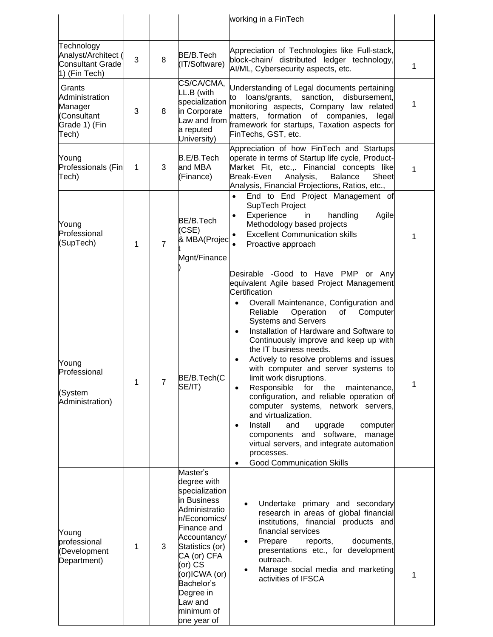|                                                                               |   |                |                                                                                                                                                                                                                                                           | working in a FinTech                                                                                                                                                                                                                                                                                                                                                                                                                                                                                                                                                                                                                                                                                                   |             |
|-------------------------------------------------------------------------------|---|----------------|-----------------------------------------------------------------------------------------------------------------------------------------------------------------------------------------------------------------------------------------------------------|------------------------------------------------------------------------------------------------------------------------------------------------------------------------------------------------------------------------------------------------------------------------------------------------------------------------------------------------------------------------------------------------------------------------------------------------------------------------------------------------------------------------------------------------------------------------------------------------------------------------------------------------------------------------------------------------------------------------|-------------|
| Technology<br>Analyst/Architect (<br><b>Consultant Grade</b><br>1) (Fin Tech) | 3 | 8              | BE/B.Tech<br>(IT/Software)                                                                                                                                                                                                                                | Appreciation of Technologies like Full-stack,<br>block-chain/ distributed ledger technology,<br>AI/ML, Cybersecurity aspects, etc.                                                                                                                                                                                                                                                                                                                                                                                                                                                                                                                                                                                     | 1           |
| Grants<br>Administration<br>Manager<br>(Consultant<br>Grade 1) (Fin<br>Tech)  | 3 | 8              | CS/CA/CMA,<br>LL.B (with<br>specialization<br>in Corporate<br>Law and from<br>a reputed<br>University)                                                                                                                                                    | Understanding of Legal documents pertaining<br>loans/grants, sanction,<br>disbursement,<br>to<br>monitoring aspects, Company law related<br>matters, formation of companies,<br>legal<br>framework for startups, Taxation aspects for<br>FinTechs, GST, etc.                                                                                                                                                                                                                                                                                                                                                                                                                                                           | $\mathbf 1$ |
| Young<br>Professionals (Fin<br>Tech)                                          | 1 | 3              | B.E/B.Tech<br>and MBA<br>(Finance)                                                                                                                                                                                                                        | Appreciation of how FinTech and Startups<br>operate in terms of Startup life cycle, Product-<br>Market Fit, etc.,. Financial concepts like<br>Break-Even<br>Analysis,<br><b>Balance</b><br>Sheet<br>Analysis, Financial Projections, Ratios, etc.,                                                                                                                                                                                                                                                                                                                                                                                                                                                                     | 1           |
| Young<br>Professional<br>(SupTech)                                            | 1 | $\overline{7}$ | BE/B.Tech<br>(CSE)<br>& MBA(Projec<br>Mgnt/Finance                                                                                                                                                                                                        | End to End Project Management of<br>$\bullet$<br>SupTech Project<br>Experience<br>in<br>handling<br>Agile<br>Methodology based projects<br><b>Excellent Communication skills</b><br>Proactive approach<br>Desirable -Good to Have PMP or Any<br>equivalent Agile based Project Management<br>Certification                                                                                                                                                                                                                                                                                                                                                                                                             | 1           |
| Young<br>Professional<br>(System<br>Administration)                           | 1 | 7              | BE/B.Tech(C<br>SE/IT)                                                                                                                                                                                                                                     | Overall Maintenance, Configuration and<br>$\bullet$<br>Reliable<br>Operation<br>of<br>Computer<br><b>Systems and Servers</b><br>Installation of Hardware and Software to<br>$\bullet$<br>Continuously improve and keep up with<br>the IT business needs.<br>Actively to resolve problems and issues<br>$\bullet$<br>with computer and server systems to<br>limit work disruptions.<br>for<br>Responsible<br>the<br>maintenance,<br>configuration, and reliable operation of<br>computer systems, network servers,<br>and virtualization.<br>Install<br>and<br>upgrade<br>computer<br>components and software,<br>manage<br>virtual servers, and integrate automation<br>processes.<br><b>Good Communication Skills</b> | 1           |
| Young<br>professional<br>(Development<br>Department)                          | 1 | 3              | Master's<br>degree with<br>specialization<br>in Business<br>Administratio<br>n/Economics/<br>Finance and<br>Accountancy/<br>Statistics (or)<br>CA (or) CFA<br>(or) CS<br>(or)ICWA (or)<br>Bachelor's<br>Degree in<br>Law and<br>minimum of<br>one year of | Undertake primary and secondary<br>research in areas of global financial<br>institutions, financial products and<br>financial services<br>Prepare<br>documents,<br>reports,<br>presentations etc., for development<br>outreach.<br>Manage social media and marketing<br>activities of IFSCA                                                                                                                                                                                                                                                                                                                                                                                                                            | 1           |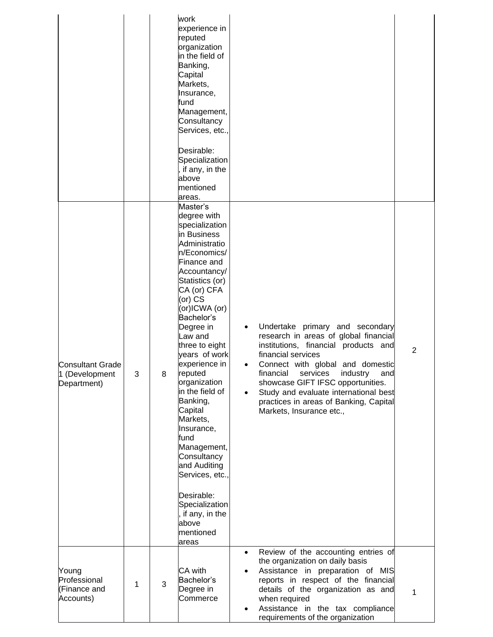|                                                          |   |   | work<br>experience in<br>reputed<br>organization<br>in the field of<br>Banking,<br>Capital<br>Markets,<br>Insurance,<br>fund<br>Management,<br>Consultancy<br>Services, etc.,<br>Desirable:<br>Specialization<br>, if any, in the<br>above<br>mentioned<br>areas.                                                                                                                                                                                                                                                                |                        |                                                                                                                                                                                                                                                                                                                                                                            |   |
|----------------------------------------------------------|---|---|----------------------------------------------------------------------------------------------------------------------------------------------------------------------------------------------------------------------------------------------------------------------------------------------------------------------------------------------------------------------------------------------------------------------------------------------------------------------------------------------------------------------------------|------------------------|----------------------------------------------------------------------------------------------------------------------------------------------------------------------------------------------------------------------------------------------------------------------------------------------------------------------------------------------------------------------------|---|
| <b>Consultant Grade</b><br>1 (Development<br>Department) | 3 | 8 | Master's<br>degree with<br>specialization<br>in Business<br>Administratio<br>n/Economics/<br>Finance and<br>Accountancy/<br>Statistics (or)<br>CA (or) CFA<br>(or) CS<br>(or)ICWA (or)<br>Bachelor's<br>Degree in<br>Law and<br>three to eight<br>vears of work<br>experience in<br>reputed<br>organization<br>in the field of<br>Banking,<br>Capital<br>Markets,<br>Insurance,<br>fund<br>Management,<br>Consultancy<br>and Auditing<br>Services, etc.,<br>Desirable:<br>Specialization<br>if any, in the<br>above<br>mentioned | $\bullet$<br>$\bullet$ | Undertake primary and secondary<br>research in areas of global financial<br>institutions, financial products and<br>financial services<br>Connect with global and domestic<br>financial<br>industry<br>services<br>and<br>showcase GIFT IFSC opportunities.<br>Study and evaluate international best<br>practices in areas of Banking, Capital<br>Markets, Insurance etc., | 2 |
| Young<br>Professional<br>(Finance and<br>Accounts)       | 1 | 3 | areas<br>CA with<br>Bachelor's<br>Degree in<br>Commerce                                                                                                                                                                                                                                                                                                                                                                                                                                                                          | $\bullet$              | Review of the accounting entries of<br>the organization on daily basis<br>Assistance in preparation of MIS<br>reports in respect of the financial<br>details of the organization as and<br>when required<br>Assistance in the tax compliance<br>requirements of the organization                                                                                           | 1 |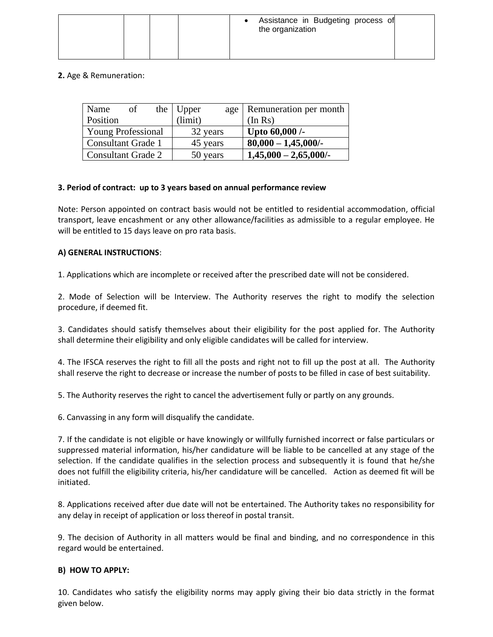|  | Assistance in Budgeting process of<br>the organization |
|--|--------------------------------------------------------|
|--|--------------------------------------------------------|

# **2.** Age & Remuneration:

| Name                      | of | the Upper | age | Remuneration per month   |
|---------------------------|----|-----------|-----|--------------------------|
| Position                  |    | (limit)   |     | (In Rs)                  |
| <b>Young Professional</b> |    | 32 years  |     | Upto $60,000$ /-         |
| <b>Consultant Grade 1</b> |    | 45 years  |     | $80,000 - 1,45,000/$ -   |
| Consultant Grade 2        |    | 50 years  |     | $1,45,000 - 2,65,000$ /- |

## **3. Period of contract: up to 3 years based on annual performance review**

Note: Person appointed on contract basis would not be entitled to residential accommodation, official transport, leave encashment or any other allowance/facilities as admissible to a regular employee. He will be entitled to 15 days leave on pro rata basis.

## **A) GENERAL INSTRUCTIONS**:

1. Applications which are incomplete or received after the prescribed date will not be considered.

2. Mode of Selection will be Interview. The Authority reserves the right to modify the selection procedure, if deemed fit.

3. Candidates should satisfy themselves about their eligibility for the post applied for. The Authority shall determine their eligibility and only eligible candidates will be called for interview.

4. The IFSCA reserves the right to fill all the posts and right not to fill up the post at all. The Authority shall reserve the right to decrease or increase the number of posts to be filled in case of best suitability.

5. The Authority reserves the right to cancel the advertisement fully or partly on any grounds.

6. Canvassing in any form will disqualify the candidate.

7. If the candidate is not eligible or have knowingly or willfully furnished incorrect or false particulars or suppressed material information, his/her candidature will be liable to be cancelled at any stage of the selection. If the candidate qualifies in the selection process and subsequently it is found that he/she does not fulfill the eligibility criteria, his/her candidature will be cancelled. Action as deemed fit will be initiated.

8. Applications received after due date will not be entertained. The Authority takes no responsibility for any delay in receipt of application or loss thereof in postal transit.

9. The decision of Authority in all matters would be final and binding, and no correspondence in this regard would be entertained.

### **B) HOW TO APPLY:**

10. Candidates who satisfy the eligibility norms may apply giving their bio data strictly in the format given below.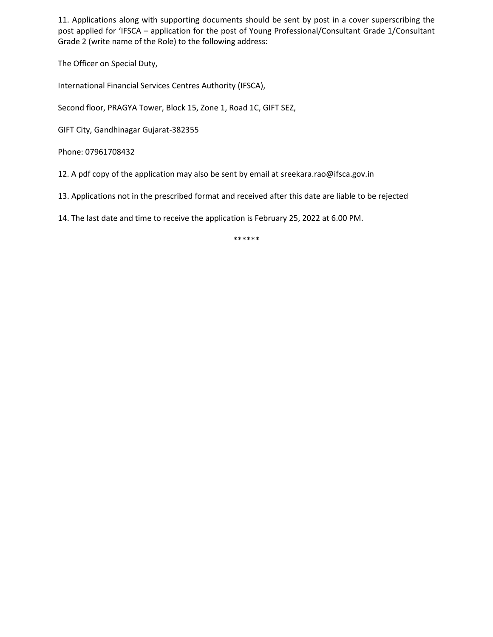11. Applications along with supporting documents should be sent by post in a cover superscribing the post applied for 'IFSCA – application for the post of Young Professional/Consultant Grade 1/Consultant Grade 2 (write name of the Role) to the following address:

The Officer on Special Duty,

International Financial Services Centres Authority (IFSCA),

Second floor, PRAGYA Tower, Block 15, Zone 1, Road 1C, GIFT SEZ,

GIFT City, Gandhinagar Gujarat-382355

Phone: 07961708432

12. A pdf copy of the application may also be sent by email at sreekara.rao@ifsca.gov.in

13. Applications not in the prescribed format and received after this date are liable to be rejected

14. The last date and time to receive the application is February 25, 2022 at 6.00 PM.

\*\*\*\*\*\*